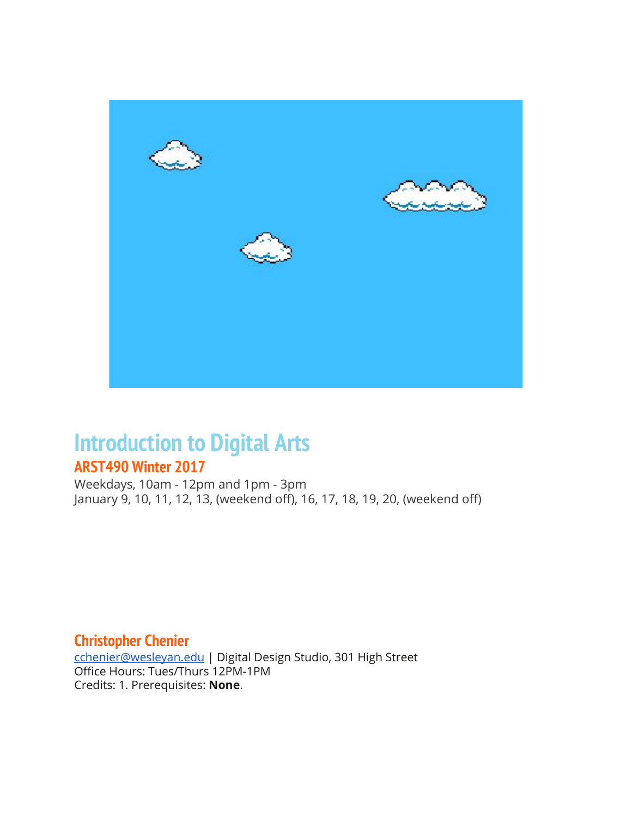

# **Introduction to Digital Arts**

## **ARST490 Winter 2017**

Weekdays, 10am - 12pm and 1pm - 3pm January 9, 10, 11, 12, 13, (weekend off), 16, 17, 18, 19, 20, (weekend off)

### **Christopher Chenier**

[cchenier@wesleyan.edu](mailto:cchenier@wesleyan.edu) | Digital Design Studio, 301 High Street Office Hours: Tues/Thurs 12PM-1PM Credits: 1. Prerequisites: **None**.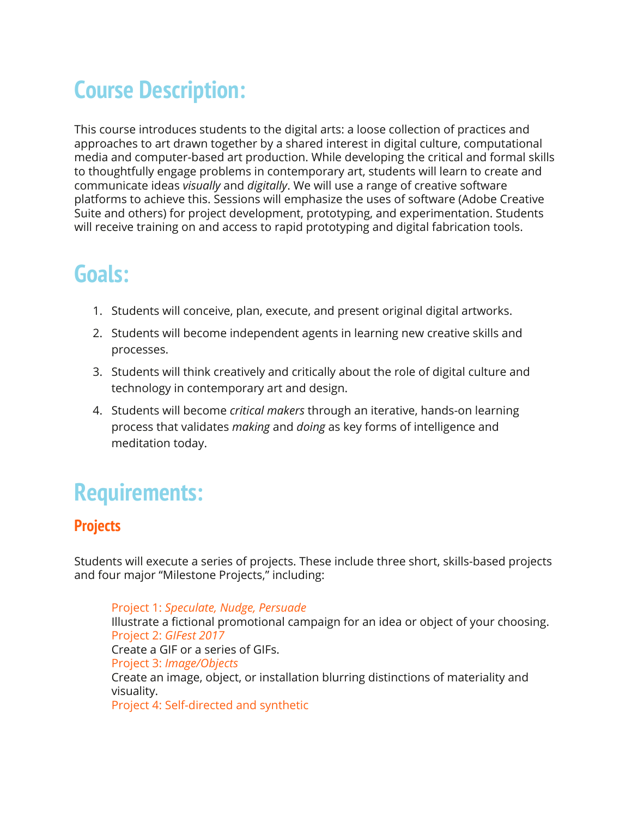# **Course Description:**

This course introduces students to the digital arts: a loose collection of practices and approaches to art drawn together by a shared interest in digital culture, computational media and computer-based art production. While developing the critical and formal skills to thoughtfully engage problems in contemporary art, students will learn to create and communicate ideas *visually* and *digitally*. We will use a range of creative software platforms to achieve this. Sessions will emphasize the uses of software (Adobe Creative Suite and others) for project development, prototyping, and experimentation. Students will receive training on and access to rapid prototyping and digital fabrication tools.

## **Goals:**

- 1. Students will conceive, plan, execute, and present original digital artworks.
- 2. Students will become independent agents in learning new creative skills and processes.
- 3. Students will think creatively and critically about the role of digital culture and technology in contemporary art and design.
- 4. Students will become *critical makers* through an iterative, hands-on learning process that validates *making* and *doing* as key forms of intelligence and meditation today.

# **Requirements:**

## **Projects**

Students will execute a series of projects. These include three short, skills-based projects and four major "Milestone Projects," including:

Project 1: *Speculate, Nudge, Persuade* Illustrate a fictional promotional campaign for an idea or object of your choosing. Project 2: *GIFest 2017* Create a GIF or a series of GIFs. Project 3: *Image/Objects* Create an image, object, or installation blurring distinctions of materiality and visuality. Project 4: Self-directed and synthetic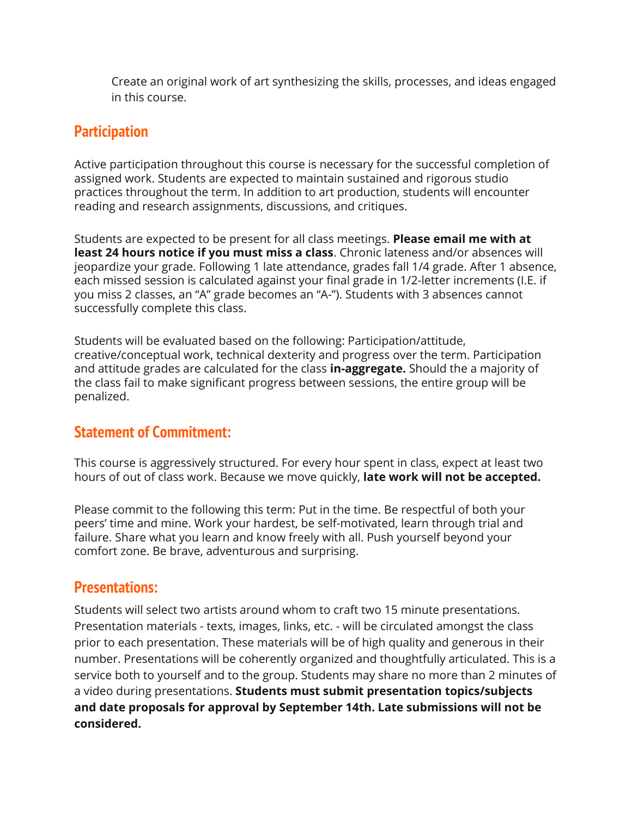Create an original work of art synthesizing the skills, processes, and ideas engaged in this course.

### **Participation**

Active participation throughout this course is necessary for the successful completion of assigned work. Students are expected to maintain sustained and rigorous studio practices throughout the term. In addition to art production, students will encounter reading and research assignments, discussions, and critiques.

Students are expected to be present for all class meetings. **Please email me with at least 24 hours notice if you must miss a class**. Chronic lateness and/or absences will jeopardize your grade. Following 1 late attendance, grades fall 1/4 grade. After 1 absence, each missed session is calculated against your final grade in 1/2-letter increments (I.E. if you miss 2 classes, an "A" grade becomes an "A-"). Students with 3 absences cannot successfully complete this class.

Students will be evaluated based on the following: Participation/attitude, creative/conceptual work, technical dexterity and progress over the term. Participation and attitude grades are calculated for the class **in-aggregate.** Should the a majority of the class fail to make significant progress between sessions, the entire group will be penalized.

### **Statement of Commitment:**

This course is aggressively structured. For every hour spent in class, expect at least two hours of out of class work. Because we move quickly, **late work will not be accepted.**

Please commit to the following this term: Put in the time. Be respectful of both your peers' time and mine. Work your hardest, be self-motivated, learn through trial and failure. Share what you learn and know freely with all. Push yourself beyond your comfort zone. Be brave, adventurous and surprising.

### **Presentations:**

Students will select two artists around whom to craft two 15 minute presentations. Presentation materials - texts, images, links, etc. - will be circulated amongst the class prior to each presentation. These materials will be of high quality and generous in their number. Presentations will be coherently organized and thoughtfully articulated. This is a service both to yourself and to the group. Students may share no more than 2 minutes of a video during presentations. **Students must submit presentation topics/subjects and date proposals for approval by September 14th. Late submissions will not be considered.**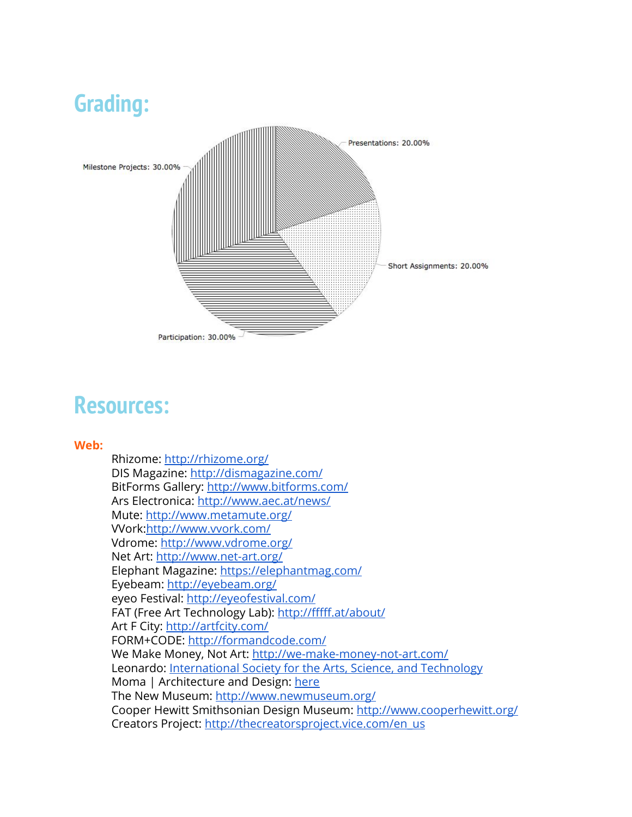

## **Resources:**

#### **Web:**

Rhizome:<http://rhizome.org/> DIS Magazine: <http://dismagazine.com/> BitForms Gallery:<http://www.bitforms.com/> Ars Electronica:<http://www.aec.at/news/> Mute:<http://www.metamute.org/> VVork[:http://www.vvork.com/](http://www.vvork.com/) Vdrome:<http://www.vdrome.org/> Net Art:<http://www.net-art.org/> Elephant Magazine:<https://elephantmag.com/> Eyebeam:<http://eyebeam.org/> eyeo Festival: <http://eyeofestival.com/> FAT (Free Art Technology Lab): <http://fffff.at/about/> Art F City: <http://artfcity.com/> FORM+CODE:<http://formandcode.com/> We Make Money, Not Art:<http://we-make-money-not-art.com/> Leonardo: [International Society for the Arts, Science, and Technology](http://www.leonardo.info/) Moma | Architecture and Design: [here](http://www.moma.org/explore/collection/departments/architecture_design) The New Museum: <http://www.newmuseum.org/> Cooper Hewitt Smithsonian Design Museum:<http://www.cooperhewitt.org/> Creators Project: [http://thecreatorsproject.vice.com/en\\_us](http://thecreatorsproject.vice.com/en_us)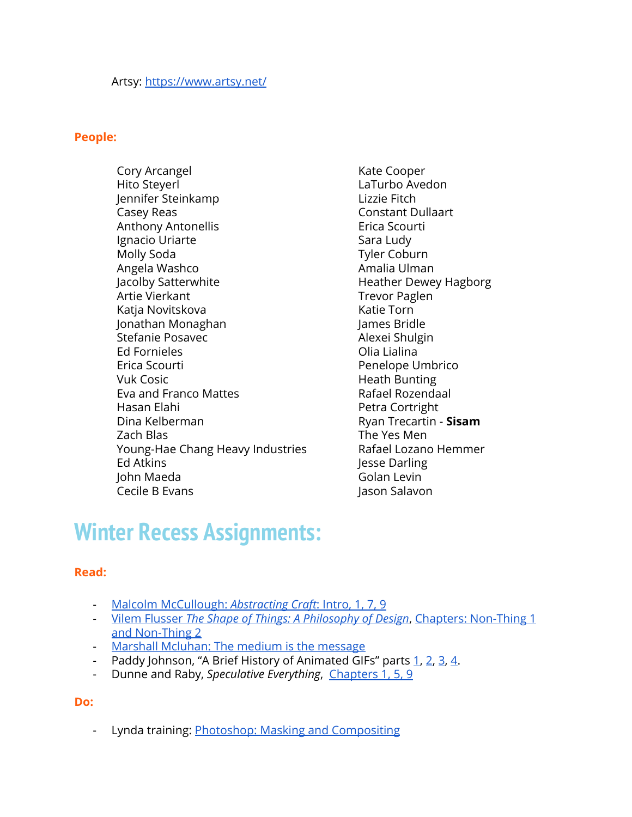#### **People:**

Cory Arcangel Hito Steyerl Jennifer Steinkamp Casey Reas Anthony Antonellis Ignacio Uriarte Molly Soda Angela Washco Jacolby Satterwhite Artie Vierkant Katja Novitskova Jonathan Monaghan Stefanie Posavec Ed Fornieles Erica Scourti Vuk Cosic Eva and Franco Mattes Hasan Elahi Dina Kelberman Zach Blas Young-Hae Chang Heavy Industries Ed Atkins John Maeda Cecile B Evans

Kate Cooper LaTurbo Avedon Lizzie Fitch Constant Dullaart Erica Scourti Sara Ludy Tyler Coburn Amalia Ulman Heather Dewey Hagborg Trevor Paglen Katie Torn James Bridle Alexei Shulgin Olia Lialina Penelope Umbrico Heath Bunting Rafael Rozendaal Petra Cortright Ryan Trecartin - **Sisam** The Yes Men Rafael Lozano Hemmer Jesse Darling Golan Levin Jason Salavon

## **Winter Recess Assignments:**

#### **Read:**

- [Malcolm McCullough:](https://drive.google.com/open?id=0B_E0r7tp8CkzRlNwdDc3SnJMZzg) *[Abstracting Craft](https://drive.google.com/open?id=0B_E0r7tp8CkzRlNwdDc3SnJMZzg)*[: Intro, 1, 7, 9](https://drive.google.com/open?id=0B_E0r7tp8CkzRlNwdDc3SnJMZzg)
- [Vilem Flusser](http://wesleyan.summon.serialssolutions.com/search?utf8=%E2%9C%93&s.q=flusser+shape+of+things#!/search/document?ho=t&l=en&q=flusser%20shape%20of%20things&id=FETCHMERGED-wesleyan_catalog_29198973) *[The Shape of Things: A Philosophy of Design](http://wesleyan.summon.serialssolutions.com/search?utf8=%E2%9C%93&s.q=flusser+shape+of+things#!/search/document?ho=t&l=en&q=flusser%20shape%20of%20things&id=FETCHMERGED-wesleyan_catalog_29198973)*, [Chapters: Non-Thing 1](http://wesleyan.summon.serialssolutions.com/search?utf8=%E2%9C%93&s.q=flusser+shape+of+things#!/search/document?ho=t&l=en&q=flusser%20shape%20of%20things&id=FETCHMERGED-wesleyan_catalog_29198973) [and Non-Thing 2](http://wesleyan.summon.serialssolutions.com/search?utf8=%E2%9C%93&s.q=flusser+shape+of+things#!/search/document?ho=t&l=en&q=flusser%20shape%20of%20things&id=FETCHMERGED-wesleyan_catalog_29198973)
- [Marshall Mcluhan: The medium is the message](https://drive.google.com/open?id=0B_E0r7tp8CkzYXJMc1UyZHpsbjg)
- Paddy Johnson, "A Brief History of Animated GIFs" parts [1,](https://news.artnet.com/art-world/a-brief-history-of-animated-gif-art-part-one-69060) [2](https://news.artnet.com/art-world/a-brief-history-of-animated-gif-art-part-two-78532), [3](https://news.artnet.com/art-world/a-brief-history-of-animated-gif-art-part-three-88928), [4.](https://news.artnet.com/market/a-brief-history-of-animated-gif-art-part-four-104733)
- Dunne and Raby, *Speculative Everything*, [Chapters 1, 5, 9](http://search.ebscohost.com.ezproxy.wesleyan.edu/login.aspx?direct=true&db=e000xna&AN=672907&site=ehost-live&scope=site&ebv=EB&ppid=pp_Cover)

#### **Do:**

- Lynda training: **Photoshop: Masking and Compositing**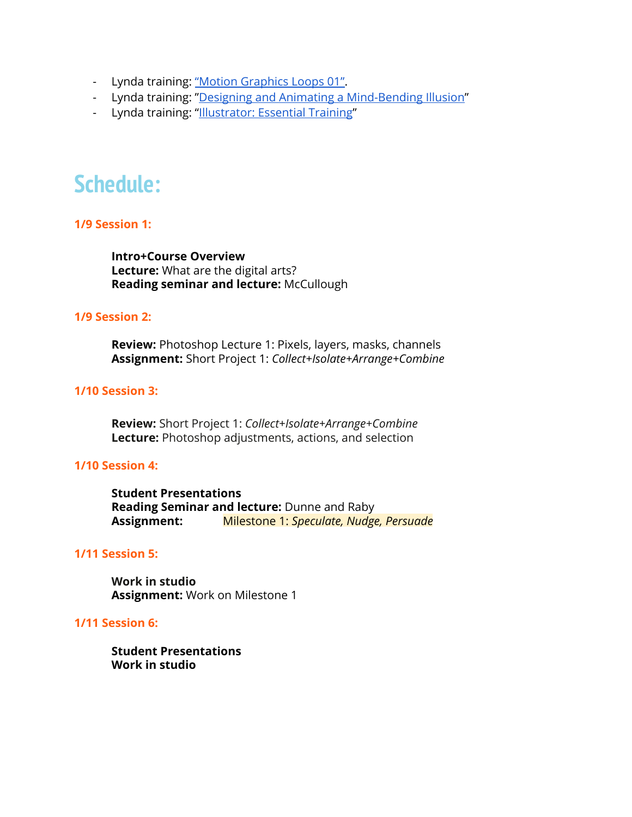- Lynda training: ["Motion Graphics Loops 01".](https://www.lynda.com/After-Effects-tutorials/Motion-Graphics-Loops-01-Photoshop-Techniques/483234-2.html)
- Lynda training: "[Designing and Animating a Mind-Bending Illusion"](https://www.lynda.com/Illustrator-tutorials/Welcome/181882/185761-4.html)
- Lynda training: "[Illustrator: Essential Training"](https://www.lynda.com/Illustrator-tutorials/Illustrator-CC-Essential-Training-2015/370378-2.html)

## **Schedule:**

#### **1/9 Session 1:**

**Intro+Course Overview Lecture:** What are the digital arts? **Reading seminar and lecture:** McCullough

#### **1/9 Session 2:**

**Review:** Photoshop Lecture 1: Pixels, layers, masks, channels **Assignment:** Short Project 1: *Collect+Isolate+Arrange+Combine*

#### **1/10 Session 3:**

**Review:** Short Project 1: *Collect+Isolate+Arrange+Combine* **Lecture:** Photoshop adjustments, actions, and selection

#### **1/10 Session 4:**

**Student Presentations Reading Seminar and lecture:** Dunne and Raby **Assignment:** Milestone 1: *Speculate, Nudge, Persuade*

#### **1/11 Session 5:**

**Work in studio Assignment:** Work on Milestone 1

#### **1/11 Session 6:**

**Student Presentations Work in studio**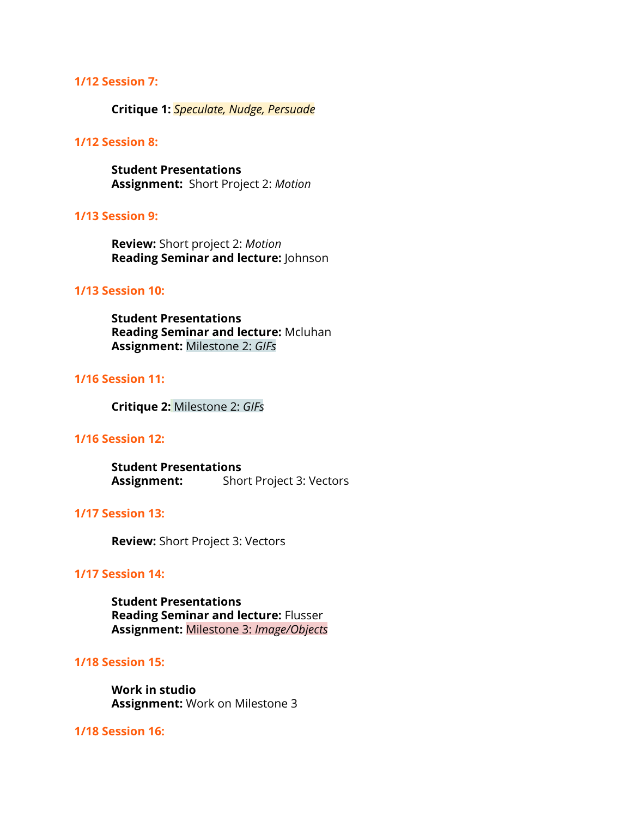#### **1/12 Session 7:**

**Critique 1:** *Speculate, Nudge, Persuade*

#### **1/12 Session 8:**

**Student Presentations Assignment:**  Short Project 2: *Motion*

#### **1/13 Session 9:**

**Review:** Short project 2: *Motion* **Reading Seminar and lecture:** Johnson

#### **1/13 Session 10:**

**Student Presentations Reading Seminar and lecture:** Mcluhan **Assignment:** Milestone 2: *GIFs*

#### **1/16 Session 11:**

**Critique 2:** Milestone 2: *GIFs*

#### **1/16 Session 12:**

**Student Presentations Assignment:** Short Project 3: Vectors

#### **1/17 Session 13:**

**Review:** Short Project 3: Vectors

#### **1/17 Session 14:**

**Student Presentations Reading Seminar and lecture:** Flusser **Assignment:** Milestone 3: *Image/Objects*

#### **1/18 Session 15:**

**Work in studio Assignment:** Work on Milestone 3

#### **1/18 Session 16:**